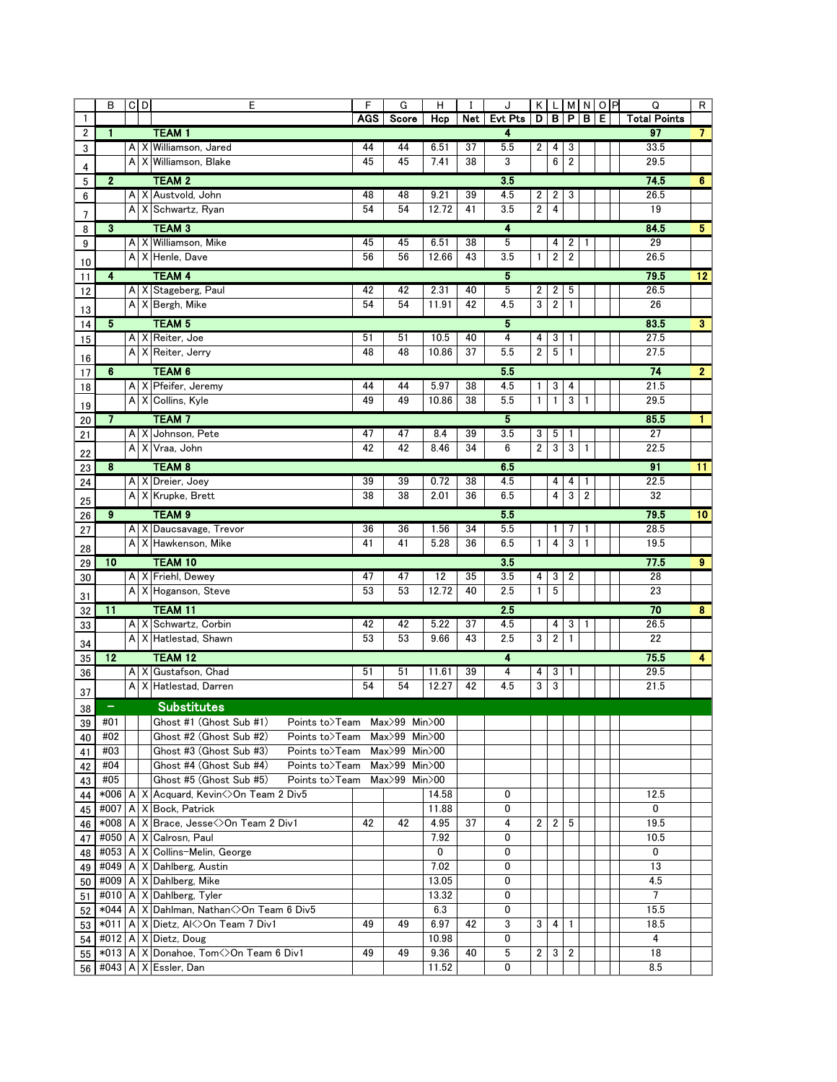|                | B                       | $C$ <sub>D</sub>                                        |     | E                                                       | F                            | G                  | H     | $\mathbf I$                 | J                     |                |                         |                         |                         | KLMNOP | Q                   | R                       |  |  |
|----------------|-------------------------|---------------------------------------------------------|-----|---------------------------------------------------------|------------------------------|--------------------|-------|-----------------------------|-----------------------|----------------|-------------------------|-------------------------|-------------------------|--------|---------------------|-------------------------|--|--|
| $\mathbf{1}$   |                         |                                                         |     |                                                         | <b>AGS</b>                   | Score              | Hcp   | Net                         | <b>Evt Pts</b>        | $\mathsf{D}$   |                         | B P                     | в                       | E.     | <b>Total Points</b> |                         |  |  |
| $\overline{2}$ | $\mathbf{1}$            |                                                         |     | <b>TEAM1</b>                                            |                              |                    |       |                             | 4                     |                |                         |                         |                         |        | 97                  | $\overline{7}$          |  |  |
| 3              |                         | A                                                       |     | X Williamson, Jared                                     | 44                           | 44                 | 6.51  | 37                          | 5.5                   | 2              | 4                       | 3                       |                         |        | 33.5                |                         |  |  |
| 4              |                         | А                                                       | Х   | Williamson, Blake                                       | 45                           | 45                 | 7.41  | 38                          | 3                     |                | 6                       | $\overline{\mathbf{c}}$ |                         |        | 29.5                |                         |  |  |
| 5              | $\mathbf{2}$            |                                                         |     | <b>TEAM 2</b>                                           | 35<br>74.5<br>6 <sup>1</sup> |                    |       |                             |                       |                |                         |                         |                         |        |                     |                         |  |  |
| 6              |                         |                                                         |     | A X Austvold, John                                      | 48                           | 48                 | 9.21  | 39                          | 4.5                   | 2              | $\overline{\mathbf{c}}$ | 3                       |                         |        | 26.5                |                         |  |  |
| 7              |                         |                                                         |     | A X Schwartz, Ryan                                      | 54                           | 54                 | 12.72 | 41                          | 3.5                   | 2              | 4                       |                         |                         |        | 19                  |                         |  |  |
| 8              | $\mathbf{3}$            |                                                         |     | <b>TEAM 3</b>                                           |                              |                    |       |                             | 4                     |                |                         |                         |                         |        | 84.5                | 5 <sub>1</sub>          |  |  |
| 9              |                         |                                                         |     | A   X   Williamson, Mike                                | 45                           | 45                 | 6.51  | 38                          | 5                     |                | 4                       | 2                       | 1                       |        | 29                  |                         |  |  |
|                |                         |                                                         |     | A X Henle, Dave                                         | 56                           | 56                 | 12.66 | 43                          | 3.5                   | 1              | $\overline{\mathbf{c}}$ | $\boldsymbol{2}$        |                         |        | 26.5                |                         |  |  |
| 10             | $\overline{\mathbf{4}}$ |                                                         |     | <b>TEAM 4</b>                                           |                              |                    |       |                             | 5                     |                |                         |                         |                         |        | 79.5                |                         |  |  |
| 11             |                         |                                                         |     | A X Stageberg, Paul                                     | 42                           | 42                 | 2.31  | 40                          | 5                     | 2              | 2                       | 5                       |                         |        | 26.5                | 12                      |  |  |
| 12             |                         |                                                         |     | A X Bergh, Mike                                         | 54                           | 54                 | 11.91 | 42                          | 4.5                   | 3              | $\overline{\mathbf{c}}$ | 1                       |                         |        | 26                  |                         |  |  |
| 13             |                         |                                                         |     |                                                         |                              |                    |       |                             |                       |                |                         |                         |                         |        |                     |                         |  |  |
| 14             | 5                       |                                                         |     | <b>TEAM 5</b>                                           |                              |                    |       |                             | $5\overline{)}$       |                |                         |                         |                         |        | 83.5                | $\overline{\mathbf{3}}$ |  |  |
| 15             |                         |                                                         |     | A X Reiter, Joe                                         | 51                           | 51                 | 10.5  | 40                          | 4                     | 4              | 3                       | 1                       |                         |        | 27.5                |                         |  |  |
| 16             |                         | Al                                                      |     | X Reiter, Jerry                                         | 48                           | 48                 | 10.86 | 37                          | 5.5                   | 2              | 5                       | $\mathbf{1}$            |                         |        | 27.5                |                         |  |  |
| 17             | 6                       |                                                         |     | TEAM <sub>6</sub>                                       |                              |                    |       |                             | 5.5                   |                |                         |                         |                         |        | 74                  | $\overline{2}$          |  |  |
| 18             |                         |                                                         |     | A X Pfeifer, Jeremy                                     | 44                           | 44                 | 5.97  | 38                          | 4.5                   | 1              | 3                       | 4                       |                         |        | 21.5                |                         |  |  |
| 19             |                         |                                                         | A X | Collins, Kyle                                           | 49                           | 49                 | 10.86 | 38                          | 5.5                   | 1              | 1                       | 3                       | 1                       |        | 29.5                |                         |  |  |
| $20\,$         | $\overline{7}$          |                                                         |     | <b>TEAM7</b>                                            |                              |                    |       | 85.5<br>5<br>$\blacksquare$ |                       |                |                         |                         |                         |        |                     |                         |  |  |
| 21             |                         | A                                                       |     | X Johnson, Pete                                         | 47                           | 47                 | 8.4   | 39                          | 3.5                   | 3              | 5                       | 1                       |                         |        | $\overline{27}$     |                         |  |  |
| 22             |                         | A                                                       |     | X Vraa. John                                            | 42                           | 42                 | 8.46  | 34                          | 6                     | $\overline{2}$ | 3                       | 3                       | 1                       |        | 22.5                |                         |  |  |
| 23             | 8                       |                                                         |     | <b>TEAM 8</b>                                           |                              |                    |       |                             | 65                    |                |                         |                         |                         |        | 91                  | 11                      |  |  |
| 24             |                         |                                                         |     | A X Dreier, Joey                                        | 39                           | 39                 | 0.72  | 38                          | 4.5                   |                | 4                       | 4                       | 1                       |        | 22.5                |                         |  |  |
|                |                         |                                                         |     | A X Krupke, Brett                                       | 38                           | 38                 | 2.01  | 36                          | 6.5                   |                | 4                       | 3                       | $\overline{\mathbf{c}}$ |        | 32                  |                         |  |  |
| 25             | $\overline{\mathbf{9}}$ |                                                         |     | TEAM <sub>9</sub>                                       |                              |                    |       |                             |                       |                |                         |                         |                         |        | 79.5                |                         |  |  |
| 26             |                         |                                                         |     | A X Daucsavage, Trevor                                  | 36                           | 36                 | 1.56  | 34                          | 5 <sub>5</sub><br>5.5 |                |                         | 7                       |                         |        | 28.5                | 10                      |  |  |
| 27             |                         | A                                                       |     | X Hawkenson, Mike                                       | 41                           | 41                 | 5.28  | 36                          | 6.5                   | $\mathbf{1}$   | 1<br>4                  | 3                       | 1<br>$\mathbf{1}$       |        | 19.5                |                         |  |  |
| 28             |                         |                                                         |     |                                                         |                              |                    |       |                             |                       |                |                         |                         |                         |        |                     |                         |  |  |
| 29             | 10                      |                                                         |     | TEAM 10                                                 |                              |                    |       |                             | 3.5                   |                |                         |                         |                         |        | 77.5                | 9                       |  |  |
| 30             |                         |                                                         |     | A X Friehl, Dewey                                       | 47                           | 47                 | 12    | 35                          | 3.5                   | 4              | 3                       | 2                       |                         |        | 28                  |                         |  |  |
| 31             |                         |                                                         |     | A X Hoganson, Steve                                     | 53                           | 53                 | 12.72 | 40                          | 2.5                   | 1              | 5                       |                         |                         |        | 23                  |                         |  |  |
| 32             | $\overline{11}$         |                                                         |     | TEAM <sub>11</sub>                                      |                              |                    |       |                             | 2.5                   |                |                         |                         |                         |        | 70                  | $\overline{\mathbf{8}}$ |  |  |
| 33             |                         |                                                         |     | A X Schwartz, Corbin                                    | 42                           | 42                 | 5.22  | 37                          | 4.5                   |                | 4                       | 3                       |                         |        | 26.5                |                         |  |  |
| 34             |                         |                                                         |     | A X Hatlestad, Shawn                                    | 53                           | 53                 | 9.66  | 43                          | 2.5                   | 3              | $\overline{2}$          | $\mathbf{1}$            |                         |        | 22                  |                         |  |  |
| 35             | $\overline{12}$         |                                                         |     | <b>TEAM 12</b>                                          |                              |                    | 4     |                             |                       |                |                         |                         | 75.5                    | 4      |                     |                         |  |  |
| 36             |                         |                                                         |     | A X Gustafson, Chad                                     | 51                           | 51                 | 11.61 | 39                          | 4                     | 4              | 3                       | 1                       |                         |        | 29.5                |                         |  |  |
| 37             |                         | A                                                       |     | X Hatlestad, Darren                                     | 54                           | 54                 | 12.27 | 42                          | 4.5                   | 3              | 3                       |                         |                         |        | 21.5                |                         |  |  |
|                | ÷                       |                                                         |     | <b>Substitutes</b>                                      |                              |                    |       |                             |                       |                |                         |                         |                         |        |                     |                         |  |  |
| 38             | #01                     | Ghost #1 (Ghost Sub #1)<br>Points to>Team Max>99 Min>00 |     |                                                         |                              |                    |       |                             |                       |                |                         |                         |                         |        |                     |                         |  |  |
| 39             | #02                     |                                                         |     | Ghost #2 (Ghost Sub #2)<br>Points to>Team               |                              | Max>99 Min>00      |       |                             |                       |                |                         |                         |                         |        |                     |                         |  |  |
| 40<br>41       | #03                     |                                                         |     | Ghost #3 (Ghost Sub #3)<br>Points to>Team Max>99 Min>00 |                              |                    |       |                             |                       |                |                         |                         |                         |        |                     |                         |  |  |
|                | #04                     |                                                         |     | Ghost #4 (Ghost Sub #4)<br>Points to>Team               |                              | $Max>99$ Min $>00$ |       |                             |                       |                |                         |                         |                         |        |                     |                         |  |  |
| 42<br>43       | #05                     |                                                         |     | Ghost #5 (Ghost Sub #5)<br>Points to>Team               |                              | Max>99 Min>00      |       |                             |                       |                |                         |                         |                         |        |                     |                         |  |  |
| 44             |                         |                                                         |     | *006   A   X   Acquard, Kevin < > On Team 2 Div5        |                              |                    | 14.58 |                             | 0                     |                |                         |                         |                         |        | 12.5                |                         |  |  |
| 45             |                         |                                                         |     | #007   A   X   Bock, Patrick                            |                              |                    | 11.88 |                             | 0                     |                |                         |                         |                         |        | 0                   |                         |  |  |
| 46             |                         |                                                         |     | *008   A   X   Brace, Jesse < > On Team 2 Div1          | 42                           | 42                 | 4.95  | 37                          | 4                     | $\overline{2}$ | $\mathbf{2}$            | 5                       |                         |        | 19.5                |                         |  |  |
| 47             |                         |                                                         |     | #050   A   X   Calrosn, Paul                            |                              |                    | 7.92  |                             | 0                     |                |                         |                         |                         |        | 10.5                |                         |  |  |
| 48             |                         |                                                         |     | #053   A   X   Collins-Melin, George                    |                              |                    | 0     |                             | 0                     |                |                         |                         |                         |        | 0                   |                         |  |  |
| 49             |                         |                                                         |     | #049   A   X   Dahlberg, Austin                         |                              |                    | 7.02  |                             | 0                     |                |                         |                         |                         |        | 13                  |                         |  |  |
| 50             |                         |                                                         |     | #009   A   X   Dahlberg, Mike                           |                              |                    | 13.05 |                             | 0                     |                |                         |                         |                         |        | 4.5                 |                         |  |  |
| 51             |                         |                                                         |     | #010   A   X   Dahlberg, Tyler                          |                              |                    | 13.32 |                             | 0                     |                |                         |                         |                         |        | $\overline{7}$      |                         |  |  |
| 52             |                         |                                                         |     | *044   A   X   Dahlman, Nathan < > On Team 6 Div5       |                              |                    | 6.3   |                             | 0                     |                |                         |                         |                         |        | 15.5                |                         |  |  |
| 53             |                         |                                                         |     | *011   A   X   Dietz, Al<>On Team 7 Div1                | 49                           | 49                 | 6.97  | 42                          | 3                     | 3              | 4                       | 1                       |                         |        | 18.5                |                         |  |  |
| 54             |                         |                                                         |     | #012   A   X   Dietz, Doug                              |                              |                    | 10.98 |                             | 0                     |                |                         |                         |                         |        | 4                   |                         |  |  |
| 55             |                         |                                                         |     | *013   A   X   Donahoe, Tom<>On Team 6 Div1             | 49                           | 49                 | 9.36  | 40                          | 5                     | $\overline{2}$ | 3                       | $\overline{\mathbf{c}}$ |                         |        | 18                  |                         |  |  |
|                |                         |                                                         |     | 56 #043 A X Essler, Dan                                 |                              |                    | 11.52 |                             | 0                     |                |                         |                         |                         |        | 8.5                 |                         |  |  |